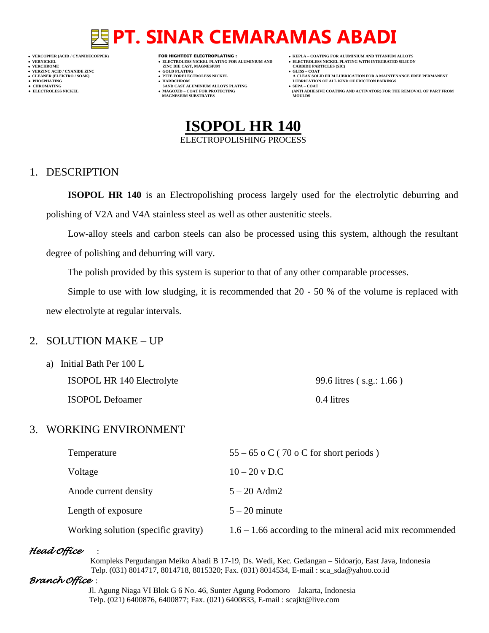- 
- 
- 
- 

- **VERT AND AGNESIUM CARBIDE PARTICLES (SILISS = COLD PLATING)**
- **VERZINC ACID / CYANIDE ZINC GOLD PLATING GLISS – COAT**
	-
- **● CHROMATING SAND CAST ALUMINIUM ALLOYS PLATING SEPA – COAT MAGNESIUM SUBSTRATES MOULDS**
- **VERCOPPER (ACID / CYANIDECOPPER)** FOR HIGHTECT ELECTROPLATING :  **KEPLA – COATING FOR ALUMINIUM AND TITANIUM ALLOYS**
- **VERNICKEL ELECTROLESS NICKEL PLATING FOR ALUMINIUM AND ELECTROLESS NICKEL PLATING WITH INTEGRATED SILICON**
	-
- **CLEANER (ELEKTRO / SOAK) PTFE FORELECTROLESS NICKEL A CLEAN SOLID FILM LUBRICATION FOR A MAINTENANCE FREE PERMANENT ● PHOSPHATING HARDCHROM LUBRICATION OF ALL KIND OF FRICTION PAIRINGS**
- **● ELECTROLESS NICKEL MAGOXID – COAT FOR PROTECTING (ANTI ADHESIVE COATING AND ACTIVATOR) FOR THE REMOVAL OF PART FROM**



### 1. DESCRIPTION

**ISOPOL HR 140** is an Electropolishing process largely used for the electrolytic deburring and polishing of V2A and V4A stainless steel as well as other austenitic steels.

Low-alloy steels and carbon steels can also be processed using this system, although the resultant degree of polishing and deburring will vary.

The polish provided by this system is superior to that of any other comparable processes.

Simple to use with low sludging, it is recommended that 20 - 50 % of the volume is replaced with new electrolyte at regular intervals.

### 2. SOLUTION MAKE – UP

a) Initial Bath Per 100 L ISOPOL HR 140 Electrolyte 99.6 litres ( s.g.: 1.66 )

ISOPOL Defoamer 0.4 litres

# 3. WORKING ENVIRONMENT

| Temperature                         | $55 - 65$ o C (70 o C for short periods)                   |
|-------------------------------------|------------------------------------------------------------|
| Voltage                             | $10 - 20$ v D.C                                            |
| Anode current density               | $5 - 20$ A/dm2                                             |
| Length of exposure                  | $5 - 20$ minute                                            |
| Working solution (specific gravity) | $1.6 - 1.66$ according to the mineral acid mix recommended |

### *Head Office* :

 Kompleks Pergudangan Meiko Abadi B 17-19, Ds. Wedi, Kec. Gedangan – Sidoarjo, East Java, Indonesia Telp. (031) 8014717, 8014718, 8015320; Fax. (031) 8014534, E-mail : sca\_sda@yahoo.co.id

### *Branch Office* :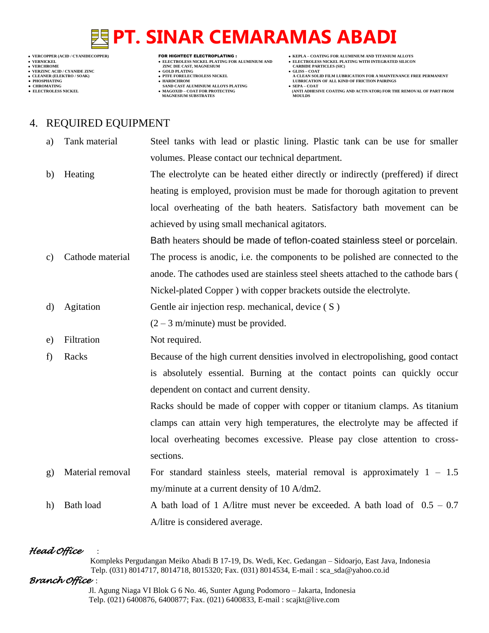- 
- 
- 

- **VERNICKEL ELECTROLESS NICKEL PLATING FOR ALUMINIUM AND ELECTROLESS NICKEL PLATING WITH INTEGRATED SILICON VERT AND AGNESIUM CARBIDE PARTICLES (SILISS = COLD PLATING)**
- **VERZINC ACID / CYANIDE ZINC GOLD PLATING GLISS – COAT**
	-
- **● CHROMATING SAND CAST ALUMINIUM ALLOYS PLATING SEPA – COAT MAGNESIUM SUBSTRATES MOULDS**
- **VERCOPPER (ACID / CYANIDECOPPER)** FOR HIGHTECT ELECTROPLATING :  **KEPLA – COATING FOR ALUMINIUM AND TITANIUM ALLOYS**
	-
- **CLEANER (ELEKTRO / SOAK) PTFE FORELECTROLESS NICKEL A CLEAN SOLID FILM LUBRICATION FOR A MAINTENANCE FREE PERMANENT ● PHOSPHATING HARDCHROM LUBRICATION OF ALL KIND OF FRICTION PAIRINGS**
- **● ELECTROLESS NICKEL MAGOXID – COAT FOR PROTECTING (ANTI ADHESIVE COATING AND ACTIVATOR) FOR THE REMOVAL OF PART FROM**

# 4. REQUIRED EQUIPMENT

- a) Tank material Steel tanks with lead or plastic lining. Plastic tank can be use for smaller volumes. Please contact our technical department.
- b) Heating The electrolyte can be heated either directly or indirectly (preffered) if direct heating is employed, provision must be made for thorough agitation to prevent local overheating of the bath heaters. Satisfactory bath movement can be achieved by using small mechanical agitators.

Bath heaters should be made of teflon-coated stainless steel or porcelain.

- c) Cathode material The process is anodic, i.e. the components to be polished are connected to the anode. The cathodes used are stainless steel sheets attached to the cathode bars ( Nickel-plated Copper ) with copper brackets outside the electrolyte.
- d) Agitation Gentle air injection resp. mechanical, device (S)

 $(2 - 3$  m/minute) must be provided.

- e) Filtration Not required.
- f) Racks Because of the high current densities involved in electropolishing, good contact is absolutely essential. Burning at the contact points can quickly occur dependent on contact and current density.

Racks should be made of copper with copper or titanium clamps. As titanium clamps can attain very high temperatures, the electrolyte may be affected if local overheating becomes excessive. Please pay close attention to crosssections.

- g) Material removal For standard stainless steels, material removal is approximately  $1 1.5$ my/minute at a current density of 10 A/dm2.
- h) Bath load A bath load of 1 A/litre must never be exceeded. A bath load of  $0.5 0.7$ A/litre is considered average.

# *Head Office* :

 Kompleks Pergudangan Meiko Abadi B 17-19, Ds. Wedi, Kec. Gedangan – Sidoarjo, East Java, Indonesia Telp. (031) 8014717, 8014718, 8015320; Fax. (031) 8014534, E-mail : sca\_sda@yahoo.co.id

# *Branch Office* :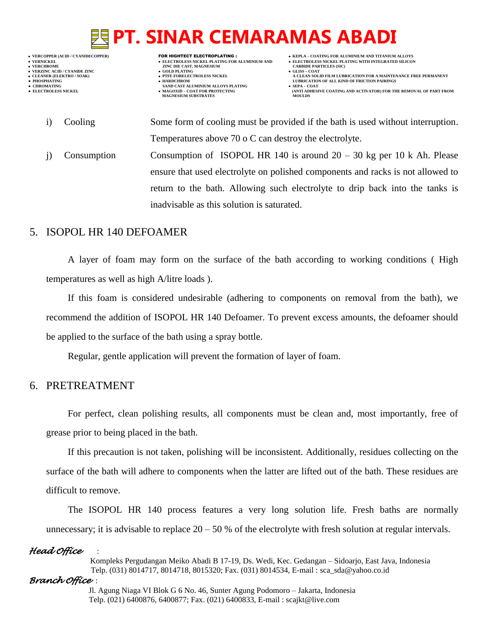- 
- 
- 

- **VERNICKEL ELECTROLESS NICKEL PLATING FOR ALUMINIUM AND ELECTROLESS NICKEL PLATING WITH INTEGRATED SILICON VERT AND AGNESIUM CARBIDE PARTICLES (SILISS = COLD PLATING)**
- **VERZINC ACID / CYANIDE ZINC GOLD PLATING GLISS – COAT**
	-
- **● CHROMATING SAND CAST ALUMINIUM ALLOYS PLATING SEPA – COAT MAGNESIUM SUBSTRATES**
- **VERCOPPER (ACID / CYANIDECOPPER)** FOR HIGHTECT ELECTROPLATING :  **KEPLA – COATING FOR ALUMINIUM AND TITANIUM ALLOYS**
	-
- **CLEANER (ELEKTRO / SOAK) PTFE FORELECTROLESS NICKEL A CLEAN SOLID FILM LUBRICATION FOR A MAINTENANCE FREE PERMANENT ● PHOSPHATING HARDCHROM LUBRICATION OF ALL KIND OF FRICTION PAIRINGS** 
	- **ELECTROLESS AND ACTIVATOR) FOR THE REMOVAL OF PART FROM (ANTI ADHESIVE COATING AND ACTIVATOR) FOR THE REMOVAL OF PART FROM**
	- i) Cooling Some form of cooling must be provided if the bath is used without interruption. Temperatures above 70 o C can destroy the electrolyte.
		- j) Consumption Consumption of ISOPOL HR 140 is around  $20 30$  kg per 10 k Ah. Please ensure that used electrolyte on polished components and racks is not allowed to return to the bath. Allowing such electrolyte to drip back into the tanks is inadvisable as this solution is saturated.

# 5. ISOPOL HR 140 DEFOAMER

A layer of foam may form on the surface of the bath according to working conditions ( High temperatures as well as high A/litre loads ).

If this foam is considered undesirable (adhering to components on removal from the bath), we recommend the addition of ISOPOL HR 140 Defoamer. To prevent excess amounts, the defoamer should be applied to the surface of the bath using a spray bottle.

Regular, gentle application will prevent the formation of layer of foam.

# 6. PRETREATMENT

For perfect, clean polishing results, all components must be clean and, most importantly, free of grease prior to being placed in the bath.

If this precaution is not taken, polishing will be inconsistent. Additionally, residues collecting on the surface of the bath will adhere to components when the latter are lifted out of the bath. These residues are difficult to remove.

The ISOPOL HR 140 process features a very long solution life. Fresh baths are normally unnecessary; it is advisable to replace  $20 - 50$  % of the electrolyte with fresh solution at regular intervals.

### *Head Office* :

 Kompleks Pergudangan Meiko Abadi B 17-19, Ds. Wedi, Kec. Gedangan – Sidoarjo, East Java, Indonesia Telp. (031) 8014717, 8014718, 8015320; Fax. (031) 8014534, E-mail : sca\_sda@yahoo.co.id

### *Branch Office* :